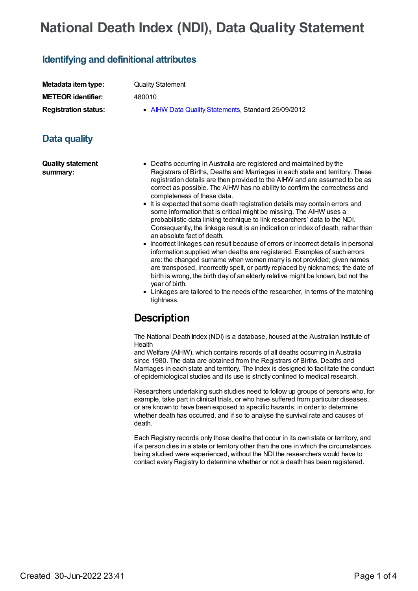## **National Death Index (NDI), Data Quality Statement**

## **Identifying and definitional attributes**

| Metadata item type:         | <b>Quality Statement</b>                            |
|-----------------------------|-----------------------------------------------------|
| <b>METEOR identifier:</b>   | 480010                                              |
| <b>Registration status:</b> | • AIHW Data Quality Statements, Standard 25/09/2012 |
|                             |                                                     |

## **Data quality**

**Quality statement summary:**

- Deaths occurring in Australia are registered and maintained by the Registrars of Births, Deaths and Marriages in each state and territory. These registration details are then provided to the AIHW and are assumed to be as correct as possible. The AIHW has no ability to confirm the correctness and completeness of these data.
- It is expected that some death registration details may contain errors and some information that is critical might be missing. The AIHW uses a probabilistic data linking technique to link researchers' data to the NDI. Consequently, the linkage result is an indication or index of death, rather than an absolute fact of death.
- Incorrect linkages can result because of errors or incorrect details in personal information supplied when deaths are registered. Examples of such errors are: the changed surname when women marry is not provided; given names are transposed, incorrectly spelt, or partly replaced by nicknames; the date of birth is wrong, the birth day of an elderly relative might be known, but not the year of birth.
- Linkages are tailored to the needs of the researcher, in terms of the matching tightness.

## **Description**

The National Death Index (NDI) is a database, housed at the Australian Institute of Health

and Welfare (AIHW), which contains records of all deaths occurring in Australia since 1980. The data are obtained from the Registrars of Births, Deaths and Marriages in each state and territory. The Index is designed to facilitate the conduct of epidemiological studies and its use is strictly confined to medical research.

Researchers undertaking such studies need to follow up groups of persons who, for example, take part in clinical trials, or who have suffered from particular diseases, or are known to have been exposed to specific hazards, in order to determine whether death has occurred, and if so to analyse the survival rate and causes of death.

Each Registry records only those deaths that occur in its own state or territory, and if a person dies in a state or territory other than the one in which the circumstances being studied were experienced, without the NDI the researchers would have to contact every Registry to determine whether or not a death has been registered.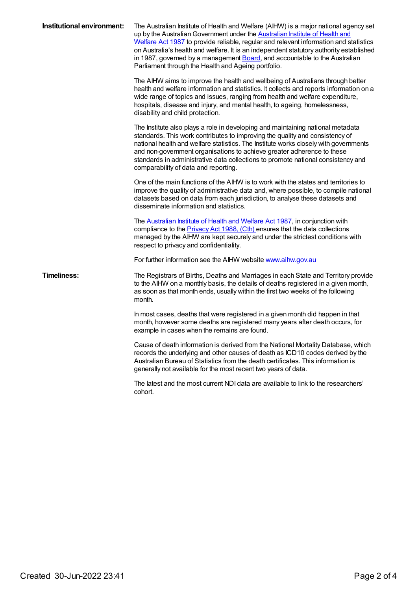| Institutional environment: | The Australian Institute of Health and Welfare (AIHW) is a major national agency set<br>up by the Australian Government under the Australian Institute of Health and<br>Welfare Act 1987 to provide reliable, regular and relevant information and statistics<br>on Australia's health and welfare. It is an independent statutory authority established<br>in 1987, governed by a management Board, and accountable to the Australian<br>Parliament through the Health and Ageing portfolio. |
|----------------------------|-----------------------------------------------------------------------------------------------------------------------------------------------------------------------------------------------------------------------------------------------------------------------------------------------------------------------------------------------------------------------------------------------------------------------------------------------------------------------------------------------|
|                            | The AIHW aims to improve the health and wellbeing of Australians through better<br>health and welfare information and statistics. It collects and reports information on a<br>wide range of topics and issues, ranging from health and welfare expenditure,<br>hospitals, disease and injury, and mental health, to ageing, homelessness,<br>disability and child protection.                                                                                                                 |
|                            | The Institute also plays a role in developing and maintaining national metadata<br>standards. This work contributes to improving the quality and consistency of<br>national health and welfare statistics. The Institute works closely with governments<br>and non-government organisations to achieve greater adherence to these<br>standards in administrative data collections to promote national consistency and<br>comparability of data and reporting.                                 |
|                            | One of the main functions of the AIHW is to work with the states and territories to<br>improve the quality of administrative data and, where possible, to compile national<br>datasets based on data from each jurisdiction, to analyse these datasets and<br>disseminate information and statistics.                                                                                                                                                                                         |
|                            | The <b>Australian Institute of Health and Welfare Act 1987</b> , in conjunction with<br>compliance to the <b>Privacy Act 1988</b> , (Cth) ensures that the data collections<br>managed by the AIHW are kept securely and under the strictest conditions with<br>respect to privacy and confidentiality.                                                                                                                                                                                       |
|                            | For further information see the AIHW website www.aihw.gov.au                                                                                                                                                                                                                                                                                                                                                                                                                                  |
| <b>Timeliness:</b>         | The Registrars of Births, Deaths and Marriages in each State and Territory provide<br>to the AIHW on a monthly basis, the details of deaths registered in a given month,<br>as soon as that month ends, usually within the first two weeks of the following<br>month.                                                                                                                                                                                                                         |
|                            | In most cases, deaths that were registered in a given month did happen in that<br>month, however some deaths are registered many years after death occurs, for<br>example in cases when the remains are found.                                                                                                                                                                                                                                                                                |
|                            | Cause of death information is derived from the National Mortality Database, which<br>records the underlying and other causes of death as ICD10 codes derived by the<br>Australian Bureau of Statistics from the death certificates. This information is<br>generally not available for the most recent two years of data.                                                                                                                                                                     |
|                            | The latest and the most current NDI data are available to link to the researchers'<br>cohort.                                                                                                                                                                                                                                                                                                                                                                                                 |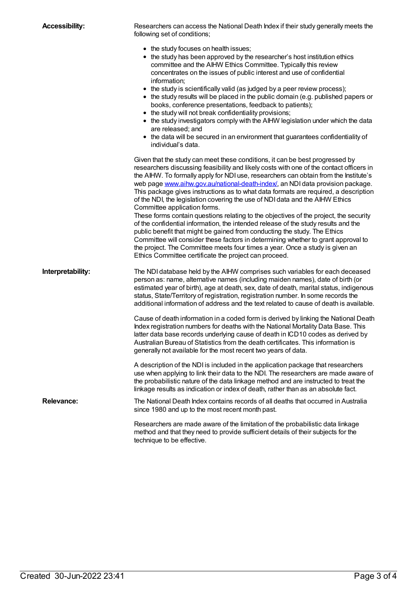| <b>Accessibility:</b> | Researchers can access the National Death Index if their study generally meets the<br>following set of conditions;                                                                                                                                                                                                                                                                                                                                                                                                                                                                                                                                                                                                                                                                                                                                                                                                                                                                                                                                 |
|-----------------------|----------------------------------------------------------------------------------------------------------------------------------------------------------------------------------------------------------------------------------------------------------------------------------------------------------------------------------------------------------------------------------------------------------------------------------------------------------------------------------------------------------------------------------------------------------------------------------------------------------------------------------------------------------------------------------------------------------------------------------------------------------------------------------------------------------------------------------------------------------------------------------------------------------------------------------------------------------------------------------------------------------------------------------------------------|
|                       | • the study focuses on health issues;<br>• the study has been approved by the researcher's host institution ethics<br>committee and the AIHW Ethics Committee. Typically this review<br>concentrates on the issues of public interest and use of confidential<br>information;<br>• the study is scientifically valid (as judged by a peer review process);<br>• the study results will be placed in the public domain (e.g. published papers or<br>books, conference presentations, feedback to patients);<br>• the study will not break confidentiality provisions;<br>• the study investigators comply with the AIHW legislation under which the data<br>are released; and<br>• the data will be secured in an environment that guarantees confidentiality of<br>individual's data.                                                                                                                                                                                                                                                              |
|                       | Given that the study can meet these conditions, it can be best progressed by<br>researchers discussing feasibility and likely costs with one of the contact officers in<br>the AIHW. To formally apply for NDI use, researchers can obtain from the Institute's<br>web page www.aihw.gov.au/national-death-index/, an NDI data provision package.<br>This package gives instructions as to what data formats are required, a description<br>of the NDI, the legislation covering the use of NDI data and the AIHW Ethics<br>Committee application forms.<br>These forms contain questions relating to the objectives of the project, the security<br>of the confidential information, the intended release of the study results and the<br>public benefit that might be gained from conducting the study. The Ethics<br>Committee will consider these factors in determining whether to grant approval to<br>the project. The Committee meets four times a year. Once a study is given an<br>Ethics Committee certificate the project can proceed. |
| Interpretability:     | The NDI database held by the AIHW comprises such variables for each deceased<br>person as: name, alternative names (including maiden names), date of birth (or<br>estimated year of birth), age at death, sex, date of death, marital status, indigenous<br>status, State/Territory of registration, registration number. In some records the<br>additional information of address and the text related to cause of death is available.<br>Cause of death information in a coded form is derived by linking the National Death<br>Index registration numbers for deaths with the National Mortality Data Base. This<br>latter data base records underlying cause of death in ICD10 codes as derived by<br>Australian Bureau of Statistics from the death certificates. This information is<br>generally not available for the most recent two years of data.                                                                                                                                                                                       |
|                       | A description of the NDI is included in the application package that researchers<br>use when applying to link their data to the NDI. The researchers are made aware of<br>the probabilistic nature of the data linkage method and are instructed to treat the<br>linkage results as indication or index of death, rather than as an absolute fact.                                                                                                                                                                                                                                                                                                                                                                                                                                                                                                                                                                                                                                                                                                 |
| <b>Relevance:</b>     | The National Death Index contains records of all deaths that occurred in Australia<br>since 1980 and up to the most recent month past.                                                                                                                                                                                                                                                                                                                                                                                                                                                                                                                                                                                                                                                                                                                                                                                                                                                                                                             |
|                       | Researchers are made aware of the limitation of the probabilistic data linkage<br>method and that they need to provide sufficient details of their subjects for the<br>technique to be effective.                                                                                                                                                                                                                                                                                                                                                                                                                                                                                                                                                                                                                                                                                                                                                                                                                                                  |